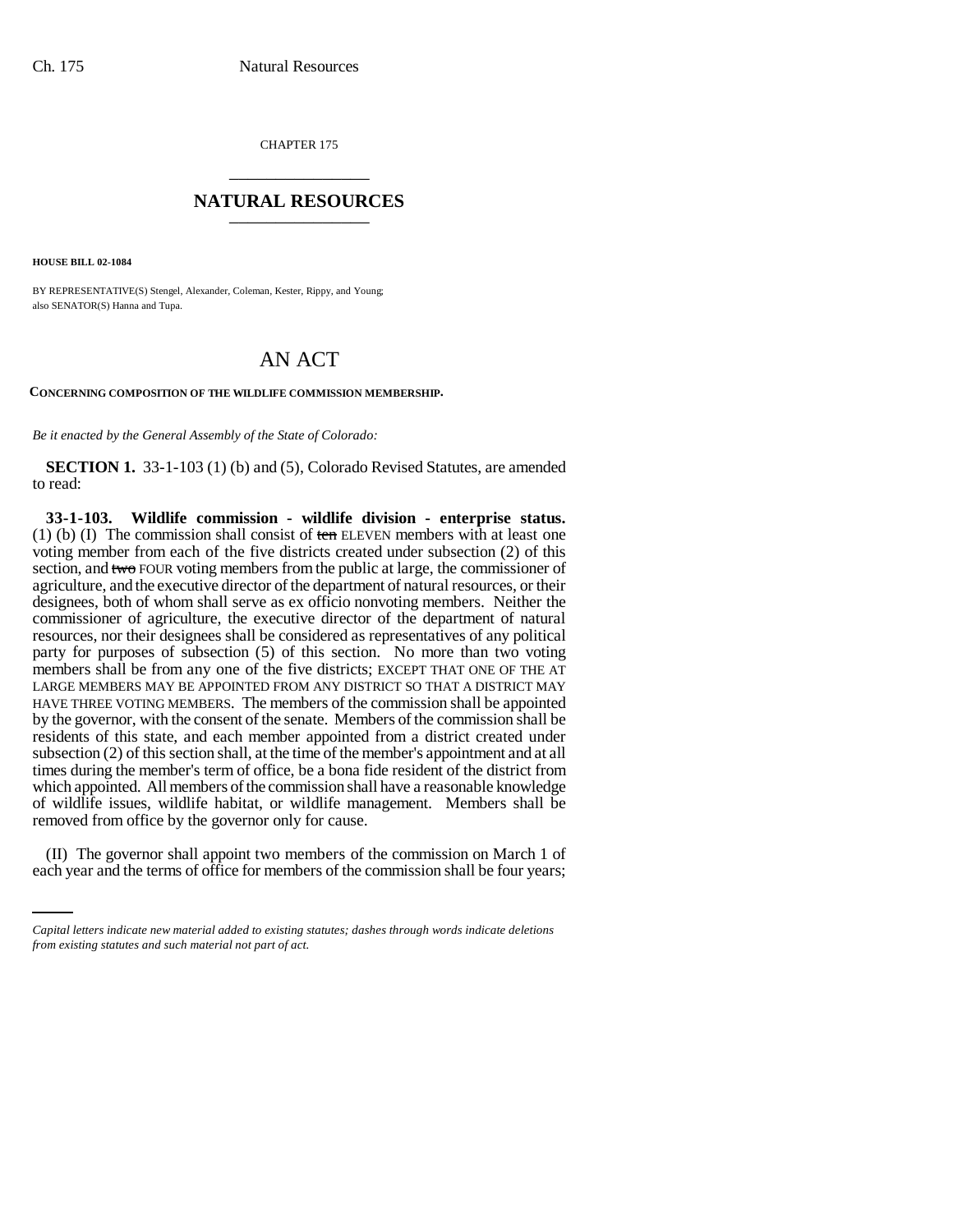CHAPTER 175 \_\_\_\_\_\_\_\_\_\_\_\_\_\_\_

## **NATURAL RESOURCES** \_\_\_\_\_\_\_\_\_\_\_\_\_\_\_

**HOUSE BILL 02-1084**

BY REPRESENTATIVE(S) Stengel, Alexander, Coleman, Kester, Rippy, and Young; also SENATOR(S) Hanna and Tupa.

## AN ACT

**CONCERNING COMPOSITION OF THE WILDLIFE COMMISSION MEMBERSHIP.**

*Be it enacted by the General Assembly of the State of Colorado:*

**SECTION 1.** 33-1-103 (1) (b) and (5), Colorado Revised Statutes, are amended to read:

removed from office by the governor only for cause. **33-1-103. Wildlife commission - wildlife division - enterprise status.** (1) (b) (I) The commission shall consist of  $t$ en ELEVEN members with at least one voting member from each of the five districts created under subsection (2) of this section, and two FOUR voting members from the public at large, the commissioner of agriculture, and the executive director of the department of natural resources, or their designees, both of whom shall serve as ex officio nonvoting members. Neither the commissioner of agriculture, the executive director of the department of natural resources, nor their designees shall be considered as representatives of any political party for purposes of subsection (5) of this section. No more than two voting members shall be from any one of the five districts; EXCEPT THAT ONE OF THE AT LARGE MEMBERS MAY BE APPOINTED FROM ANY DISTRICT SO THAT A DISTRICT MAY HAVE THREE VOTING MEMBERS. The members of the commission shall be appointed by the governor, with the consent of the senate. Members of the commission shall be residents of this state, and each member appointed from a district created under subsection (2) of this section shall, at the time of the member's appointment and at all times during the member's term of office, be a bona fide resident of the district from which appointed. All members of the commission shall have a reasonable knowledge of wildlife issues, wildlife habitat, or wildlife management. Members shall be

(II) The governor shall appoint two members of the commission on March 1 of each year and the terms of office for members of the commission shall be four years;

*Capital letters indicate new material added to existing statutes; dashes through words indicate deletions from existing statutes and such material not part of act.*